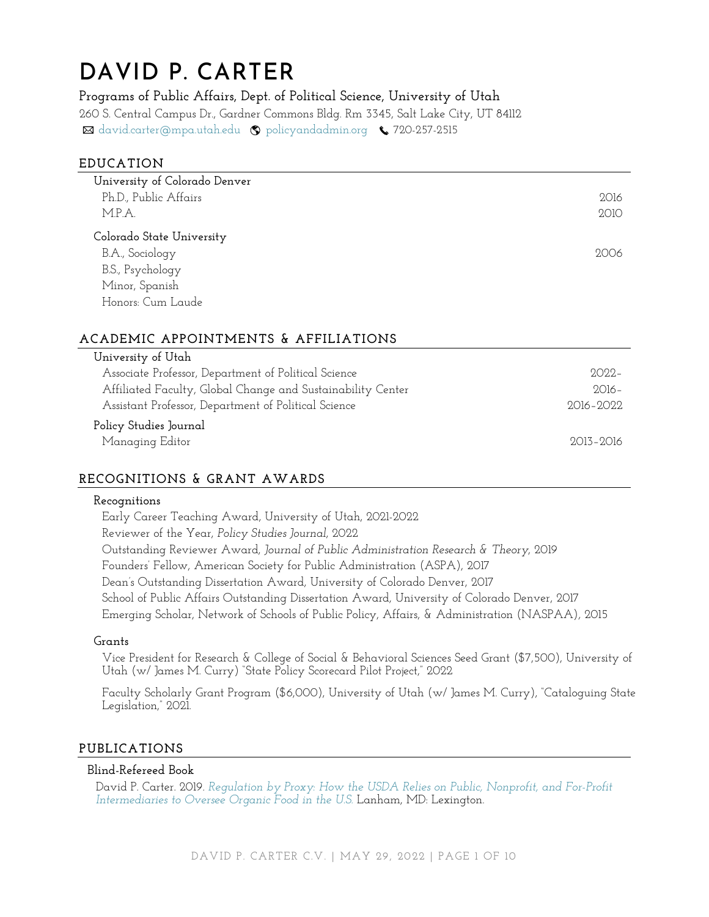# DAVID P. CARTER

**Programs of Public Affairs, Dept. of Political Science, University of Utah** 260 S. Central Campus Dr., Gardner Commons Bldg. Rm 3345, Salt Lake City, UT 84112 ⊠ [david.carter@mpa.utah.edu](mailto:david.carter@mpa.utah.edu) © [policyandadmin.org](http://www.policyandadmin.org/) ↓720-257-2515

## **EDUCATION**

| University of Colorado Denver |      |
|-------------------------------|------|
| Ph.D., Public Affairs         | 2016 |
| M.P.A.                        | 2010 |
| Colorado State University     |      |
| B.A., Sociology               | 2006 |
| B.S., Psychology              |      |
| Minor, Spanish                |      |
| Honors: Cum Laude             |      |

# **ACADEMIC APPOINTMENTS & AFFILIATIONS**

| University of Utah                                          |               |
|-------------------------------------------------------------|---------------|
| Associate Professor, Department of Political Science        | $2022 -$      |
| Affiliated Faculty, Global Change and Sustainability Center | $2016-$       |
| Assistant Professor, Department of Political Science        | $2016 - 2022$ |
| Policy Studies Journal                                      |               |
| Managing Editor                                             | 2013-2016     |
|                                                             |               |

# **RECOGNITIONS & GRANT AWARDS**

#### **Recognitions**

Early Career Teaching Award, University of Utah, 2021-2022 Reviewer of the Year, *Policy Studies Journal*, 2022 Outstanding Reviewer Award, *Journal of Public Administration Research & Theory*, 2019 Founders' Fellow, American Society for Public Administration (ASPA), 2017 Dean's Outstanding Dissertation Award, University of Colorado Denver, 2017 School of Public Affairs Outstanding Dissertation Award, University of Colorado Denver, 2017 Emerging Scholar, Network of Schools of Public Policy, Affairs, & Administration (NASPAA)*,* 2015

#### **Grants**

Vice President for Research & College of Social & Behavioral Sciences Seed Grant (\$7,500), University of Utah (w/ James M. Curry) "State Policy Scorecard Pilot Project," 2022

Faculty Scholarly Grant Program (\$6,000), University of Utah (w/ James M. Curry), "Cataloguing State Legislation," 2021.

## **PUBLICATIONS**

### **Blind-Refereed Book**

David P. Carter. 2019*. [Regulation by Proxy: How the USDA Relies on Public, Nonprofit, and For-Profit](https://rowman.com/ISBN/9781498574204/Regulation-by-Proxy-How-the-USDA-Relies-on-Public-Nonprofit-and-For-Profit-Intermediaries-to-Oversee-Organic-Food-in-the-U-S)  [Intermediaries to Oversee Organic Food in the U.S.](https://rowman.com/ISBN/9781498574204/Regulation-by-Proxy-How-the-USDA-Relies-on-Public-Nonprofit-and-For-Profit-Intermediaries-to-Oversee-Organic-Food-in-the-U-S)* Lanham, MD: Lexington.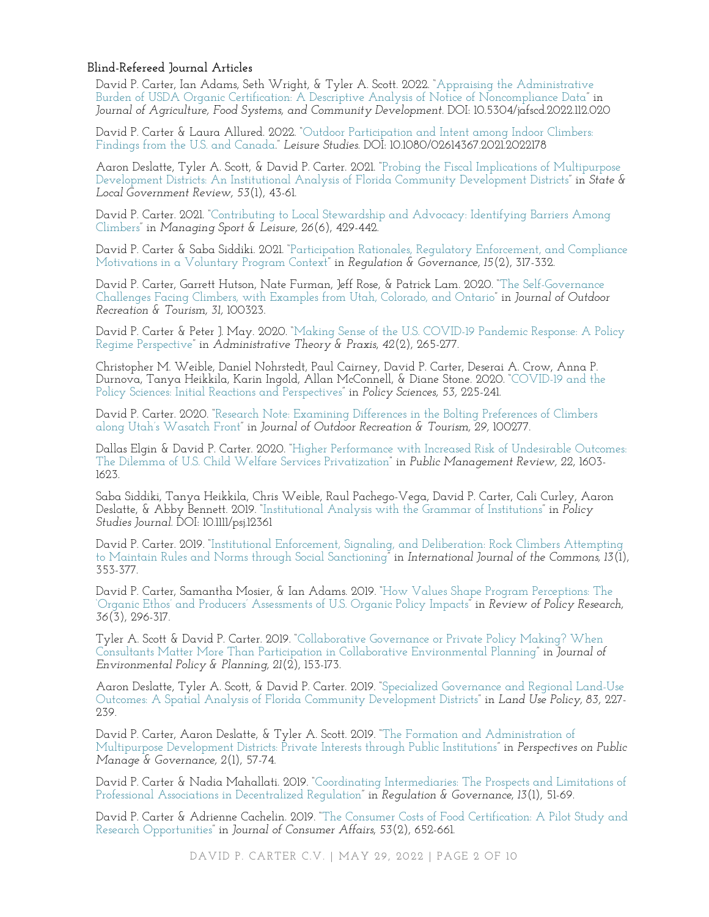#### **Blind-Refereed Journal Articles**

David P. Carter, Ian Adams, Seth Wright, & Tyler A. Scott. 2022. "[Appraising the Administrative](https://doi.org/10.5304/jafscd.2022.112.020)  [Burden of USDA Organic Certification: A Descriptive Analysis of Notice of Noncompliance Data](https://doi.org/10.5304/jafscd.2022.112.020)" in *Journal of Agriculture, Food Systems, and Community Development.* DOI: 10.5304/jafscd.2022.112.020

David P. Carter & Laura Allured. 2022. "[Outdoor Participation and Intent among Indoor Climbers:](http://dx.doi.org/10.1080/02614367.2021.2022178)  [Findings from the U.S. and Canada](http://dx.doi.org/10.1080/02614367.2021.2022178)." *Leisure Studies.* DOI: 10.1080/02614367.2021.2022178

Aaron Deslatte, Tyler A. Scott, & David P. Carter. 2021. "[Probing the Fiscal Implications of Multipurpose](https://doi.org/10.1177/0160323X211010911)  [Development Districts: An Institutional Analysis of Florida Community Development Districts](https://doi.org/10.1177/0160323X211010911)" in *State & Local Government Review, 53*(1), 43-61.

David P. Carter. 2021. "[Contributing to Local Stewardship and Advocacy: Identifying Barriers Among](https://doi.org/10.1080/23750472.2020.1738954)  [Climbers](https://doi.org/10.1080/23750472.2020.1738954)" in *Managing Sport & Leisure, 26*(6), 429-442.

David P. Carter & Saba Siddiki. 2021. "[Participation Rationales, Regulatory Enforcement, and Compliance](https://doi.org/10.1111/rego.12289)  [Motivations in a Voluntary Program Context](https://doi.org/10.1111/rego.12289)" in *Regulation & Governance, 15*(2), 317-332.

David P. Carter, Garrett Hutson, Nate Furman, Jeff Rose, & Patrick Lam. 2020. "[The Self-Governance](https://doi.org/10.1016/j.jort.2020.100323)  [Challenges Facing Climbers, with Examples from Utah, Colorado, and Ontario](https://doi.org/10.1016/j.jort.2020.100323)" in *Journal of Outdoor Recreation & Tourism, 31,* 100323.

David P. Carter & Peter J. May. 2020. "[Making Sense of the U.S. COVID-19 Pandemic Response: A Policy](https://doi.org/10.1080/10841806.2020.1758991)  [Regime Perspective](https://doi.org/10.1080/10841806.2020.1758991)" in *Administrative Theory & Praxis*, *42*(2), 265-277.

Christopher M. Weible, Daniel Nohrstedt, Paul Cairney, David P. Carter, Deserai A. Crow, Anna P. Durnova, Tanya Heikkila, Karin Ingold, Allan McConnell, & Diane Stone. 2020. "[COVID-19 and the](https://link.springer.com/article/10.1007/s11077-020-09381-4)  [Policy Sciences: Initial Reactions and Perspectives](https://link.springer.com/article/10.1007/s11077-020-09381-4)" in *Policy Sciences, 53,* 225-241.

David P. Carter. 2020. "[Research Note: Examining Differences in the Bolting Preferences of Climbers](https://doi.org/10.1016/j.jort.2020.100277)  along [Utah's Wasatch Front"](https://doi.org/10.1016/j.jort.2020.100277) in *Journal of Outdoor Recreation & Tourism, 29,* 100277.

Dallas Elgin & David P. Carter. 2020. "[Higher Performance with Increased Risk of Undesirable Outcomes:](https://doi.org/10.1080/14719037.2019.1637013)  [The Dilemma of U.S. Child Welfare Services Privatization](https://doi.org/10.1080/14719037.2019.1637013)" in *Public Management Review, 22*, 1603- 1623.

Saba Siddiki, Tanya Heikkila, Chris Weible, Raul Pachego-Vega, David P. Carter, Cali Curley, Aaron Deslatte, & Abby Bennett. 2019. "[Institutional Analysis with the Grammar of Institutions](https://doi.org/10.1111/psj.12361)" in *Policy Studies Journal.* DOI: 10.1111/psj.12361

David P. Carter. 2019. "[Institutional Enforcement, Signaling, and Deliberation: Rock Climbers Attempting](https://www.thecommonsjournal.org/articles/10.18352/ijc.878/)  [to Maintain Rules and Norms through Social Sanctioning](https://www.thecommonsjournal.org/articles/10.18352/ijc.878/)" in *International Journal of the Commons, 13*(1), 353-377.

David P. Carter, Samantha Mosier, & Ian Adams. 2019. "[How Values Shape Program Perceptions: The](https://doi.org/10.1111/ropr.12330)  ['Organic Ethos' and Producers' Assessments of U.S. Organic Policy Impacts"](https://doi.org/10.1111/ropr.12330) in *Review of Policy Research, 36*(3), 296-317.

Tyler A. Scott & David P. Carter. 2019. "[Collaborative Governance or Private Policy Making? When](https://doi.org/10.1080/1523908X.2019.1566061)  [Consultants Matter More Than Participation in Collaborative Environmental Planning](https://doi.org/10.1080/1523908X.2019.1566061)" in *Journal of Environmental Policy & Planning, 21*(2), 153-173.

Aaron Deslatte, Tyler A. Scott, & David P. Carter. 2019. "[Specialized Governance and Regional Land-Use](https://doi.org/10.1016/j.landusepol.2019.01.029)  [Outcomes: A Spatial Analysis of Florida Community Development Districts](https://doi.org/10.1016/j.landusepol.2019.01.029)" in *Land Use Policy, 83,* 227- 239.

David P. Carter, Aaron Deslatte, & Tyler A. Scott. 2019. "[The Formation and Administration of](https://doi.org/10.1093/ppmgov/gvy009)  [Multipurpose Development Districts: Private Interests through Public Institutions](https://doi.org/10.1093/ppmgov/gvy009)" in *Perspectives on Public Manage & Governance, 2*(1), 57-74.

David P. Carter & Nadia Mahallati. 2019. "[Coordinating Intermediaries: The Prospects and Limitations of](https://doi.org/10.1111/rego.12167)  [Professional Associations in Decentralized Regulation](https://doi.org/10.1111/rego.12167)" in *Regulation & Governance*, *13*(1), 51-69.

David P. Carter & Adrienne Cachelin. 2019. "[The Consumer Costs of Food Certification: A Pilot Study and](https://doi.org/10.1111/joca.12196)  [Research Opportunities](https://doi.org/10.1111/joca.12196)" in *Journal of Consumer Affairs*, *53*(2), 652-661.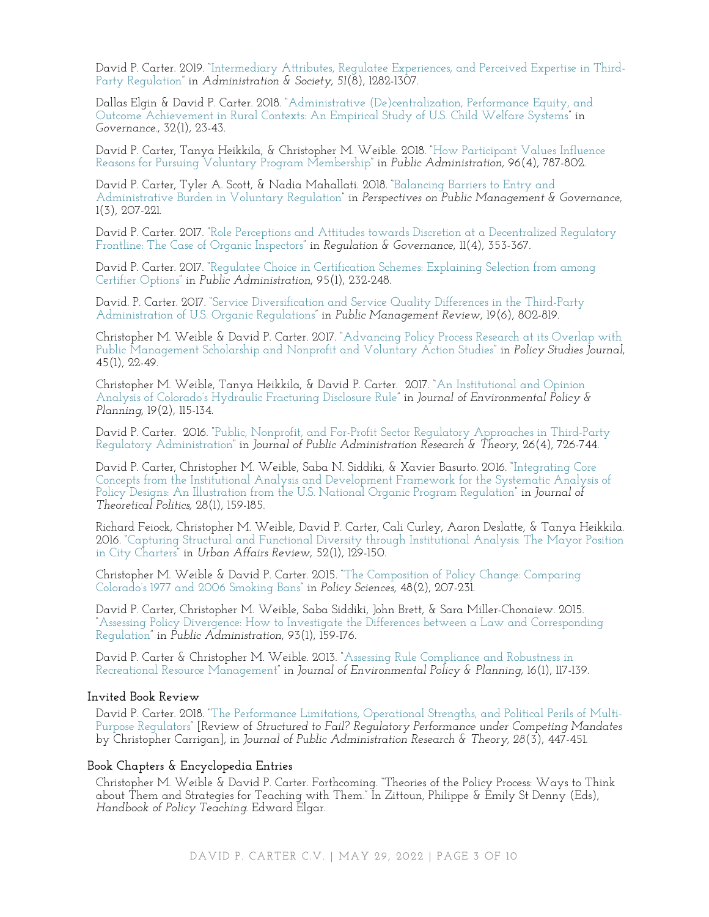David P. Carter. 2019. "[Intermediary Attributes, Regulatee Experiences, and Perceived Expertise in Third-](https://doi.org/10.1177/0095399717725350)[Party Regulation](https://doi.org/10.1177/0095399717725350)" in *Administration & Society, 51*(8), 1282-1307.

Dallas Elgin & David P. Carter. 2018. "[Administrative \(De\)centralization, Performance Equity, and](https://doi.org/10.1111/gove.12343)  [Outcome Achievement in Rural Contexts: An Empirical Study of U.S. Child Welfare Systems](https://doi.org/10.1111/gove.12343)" in *Governance*., 32(1), 23-43.

David P. Carter, Tanya Heikkila, & Christopher M. Weible. 2018. "[How Participant Values Influence](https://doi.org/10.1111/padm.12527)  [Reasons for Pursuing Voluntary Program Membership](https://doi.org/10.1111/padm.12527)" in *Public Administration*, 96(4), 787-802.

David P. Carter, Tyler A. Scott, & Nadia Mahallati. 2018. "[Balancing Barriers to Entry and](https://doi.org/10.1093/ppmgov/gvx005)  [Administrative Burden in Voluntary Regulation](https://doi.org/10.1093/ppmgov/gvx005)" in *Perspectives on Public Management & Governance,* 1(3), 207-221.

David P. Carter. 2017. "[Role Perceptions and Attitudes towards Discretion at a Decentralized Regulatory](https://doi.org/10.1111/rego.12143)  [Frontline: The Case of Organic Inspectors](https://doi.org/10.1111/rego.12143)" in *Regulation & Governance*, 11(4), 353-367.

David P. Carter. 2017. "[Regulatee Choice in Certification Schemes: Explaining Selection from among](https://doi.org/10.1111/padm.12302)  [Certifier Options](https://doi.org/10.1111/padm.12302)" in *Public Administration*, 95(1), 232-248.

David. P. Carter. 2017. "[Service Diversification and Service Quality Differences in the Third-Party](https://doi.org/10.1080/14719037.2016.1210904)  [Administration of U.S. Organic Regulations](https://doi.org/10.1080/14719037.2016.1210904)" in *Public Management Review*, 19(6), 802-819.

Christopher M. Weible & David P. Carter. 2017. "[Advancing Policy Process Research at its Overlap with](https://doi.org/10.1111/psj.12194)  [Public Management Scholarship and Nonprofit and Voluntary Action Studies](https://doi.org/10.1111/psj.12194)" in *Policy Studies Journal*, 45(1), 22-49.

Christopher M. Weible, Tanya Heikkila, & David P. Carter. 2017. "[An Institutional and Opinion](https://doi.org/10.1080/1523908X.2016.1150776)  [Analysis of Colorado's Hydraulic Fracturing Disclosure Rule"](https://doi.org/10.1080/1523908X.2016.1150776) in *Journal of Environmental Policy & Planning*, 19(2), 115-134.

David P. Carter. 2016. "[Public, Nonprofit, and For-Profit Sector Regulatory Approaches in Third-Party](https://doi.org/10.1093/jopart/muw022)  [Regulatory Administration](https://doi.org/10.1093/jopart/muw022)" in *Journal of Public Administration Research & Theory*, 26(4), 726-744.

David P. Carter, Christopher M. Weible, Saba N. Siddiki, & Xavier Basurto. 2016. "[Integrating Core](https://doi.org/10.1177/0951629815603494)  [Concepts from the Institutional Analysis and Development Framework for the Systematic Analysis of](https://doi.org/10.1177/0951629815603494)  [Policy Designs: An Illustration from the U.S. National Organic Program Regulation](https://doi.org/10.1177/0951629815603494)" in *Journal of Theoretical Politics,* 28(1), 159-185.

Richard Feiock, Christopher M. Weible, David P. Carter, Cali Curley, Aaron Deslatte, & Tanya Heikkila. 2016. "[Capturing Structural and Functional Diversity through Institutional Analysis: The Mayor Position](https://doi.org/10.1177/1078087414555999)  [in City Charters](https://doi.org/10.1177/1078087414555999)" in *Urban Affairs Review*, 52(1), 129-150.

Christopher M. Weible & David P. Carter. 2015. "[The Composition of Policy Change: Comparing](https://link.springer.com/article/10.1007/s11077-015-9217-x)  [Colorado's 1977 and 2006 Smoking Bans"](https://link.springer.com/article/10.1007/s11077-015-9217-x) in *Policy Sciences*, 48(2), 207-231.

David P. Carter, Christopher M. Weible, Saba Siddiki, John Brett, & Sara Miller-Chonaiew. 2015. "[Assessing Policy Divergence: How to Investigate the Differences between a Law and Corresponding](https://doi.org/10.1111/padm.12120)  [Regulation](https://doi.org/10.1111/padm.12120)" in *Public Administration*, 93(1), 159-176.

David P. Carter & Christopher M. Weible. 2013. "[Assessing Rule Compliance and Robustness in](https://doi.org/10.1080/1523908X.2013.821943)  [Recreational Resource Management](https://doi.org/10.1080/1523908X.2013.821943)" in *Journal of Environmental Policy & Planning*, 16(1), 117-139.

## **Invited Book Review**

David P. Carter. 2018. "[The Performance Limitations, Operational Strengths, and Political Perils of Multi-](https://doi.org/10.1093/jopart/muy020)[Purpose Regulators](https://doi.org/10.1093/jopart/muy020)" [Review of *Structured to Fail? Regulatory Performance under Competing Mandates* by Christopher Carrigan], in *Journal of Public Administration Research & Theory, 28*(3), 447-451.

#### **Book Chapters & Encyclopedia Entries**

Christopher M. Weible & David P. Carter. Forthcoming. "Theories of the Policy Process: Ways to Think about Them and Strategies for Teaching with Them." In Zittoun, Philippe & Emily St Denny (Eds), *Handbook of Policy Teaching.* Edward Elgar.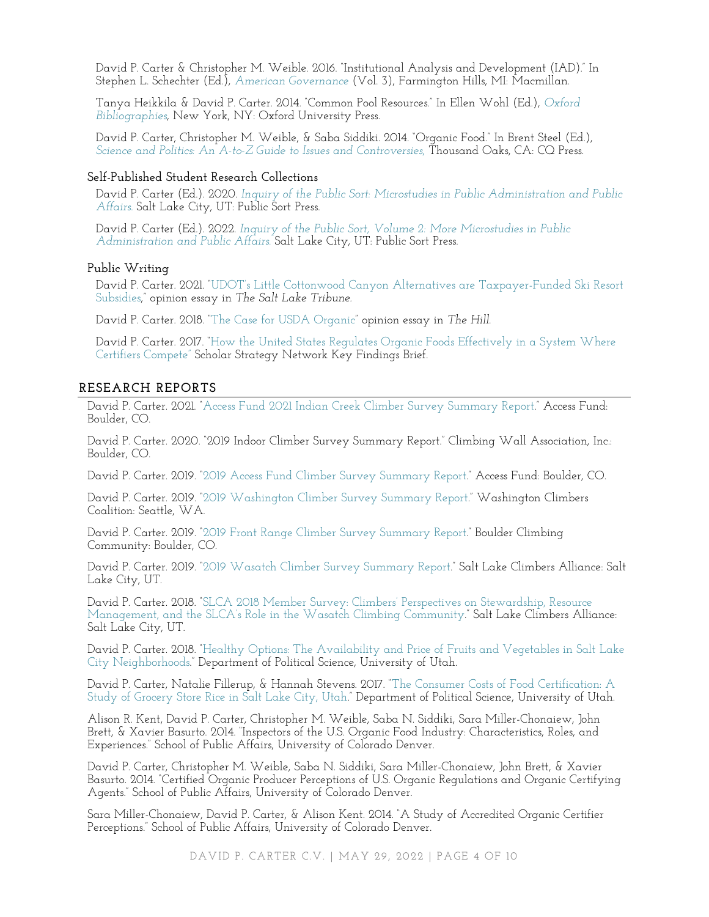David P. Carter & Christopher M. Weible. 2016. "Institutional Analysis and Development (IAD)." In Stephen L. Schechter (Ed.), *[American Governance](https://www.cengage.com/search/productOverview.do?Ntt=american+governance%7C201174268915618961312414924111488915835&N=197&Nr=197&Ntk=APG%7CP_EPI&Ntx=mode+matchallpartial)* (Vol. 3), Farmington Hills, MI: Macmillan.

Tanya Heikkila & David P. Carter. 2014. "Common Pool Resources." In Ellen Wohl (Ed.), *[Oxford](https://www.oxfordbibliographies.com/)  [Bibliographies](https://www.oxfordbibliographies.com/)*, New York, NY: Oxford University Press.

David P. Carter, Christopher M. Weible, & Saba Siddiki. 2014. "Organic Food." In Brent Steel (Ed.), *[Science and Politics: An A-to-Z Guide to Issues and Controversies](https://us.sagepub.com/en-us/nam/science-and-politics/book239100)*, Thousand Oaks, CA: CQ Press.

#### **Self-Published Student Research Collections**

David P. Carter (Ed.). 2020. *[Inquiry of the Public Sort: Microstudies in Public Administration and Public](https://pubadminmicrostudies.pressbooks.com/)*  [Affairs.](https://pubadminmicrostudies.pressbooks.com/) Salt Lake City, UT: Public Sort Press.

David P. Carter (Ed.). 2022. *Inquiry of the Public Sort, [Volume 2: More Microstudies in Public](https://pubaffairsmicrostudies.pressbooks.com/)  [Administration and Public Affairs.](https://pubaffairsmicrostudies.pressbooks.com/)* Salt Lake City, UT: Public Sort Press.

#### **Public Writing**

David P. Carter. 2021. "UDOT's [Little Cottonwood Canyon Alternatives are Taxpayer-Funded Ski Resort](https://www.sltrib.com/opinion/commentary/2021/07/29/david-p-carter-udots/)  [Subsidies](https://www.sltrib.com/opinion/commentary/2021/07/29/david-p-carter-udots/)," opinion essay in *The Salt Lake Tribune.* 

David P. Carter. 2018. "[The Case for USDA Organic](https://thehill.com/blogs/congress-blog/politics/411465-the-case-for-usda-organic)" opinion essay in *The Hill.*

David P. Carter. 2017. "[How the United States Regulates Organic Foods Effectively in a System Where](http://www.scholarsstrategynetwork.org/scholar/david-p-carter)  [Certifiers Compete](http://www.scholarsstrategynetwork.org/scholar/david-p-carter)" Scholar Strategy Network Key Findings Brief.

#### **RESEARCH REPORTS**

David P. Carter. 2021. "[Access Fund 2021 Indian Creek Climber Survey Summary Report](https://www.policyandadmin.org/reports)." Access Fund: Boulder, CO.

David P. Carter. 2020. "2019 Indoor Climber Survey Summary Report." Climbing Wall Association, Inc.: Boulder, CO.

David P. Carter. 2019. "[2019 Access Fund Climber Survey Summary Report](https://www.policyandadmin.org/reports)." Access Fund: Boulder, CO.

David P. Carter. 2019. "[2019 Washington Climber Survey Summary Report](https://www.policyandadmin.org/reports)." Washington Climbers Coalition: Seattle, WA.

David P. Carter. 2019. "2019 Front Range [Climber Survey Summary Report](https://www.policyandadmin.org/reports)." Boulder Climbing Community: Boulder, CO.

David P. Carter. 2019. "[2019 Wasatch Climber Survey Summary Report](https://www.policyandadmin.org/reports)." Salt Lake Climbers Alliance: Salt Lake City, UT.

David P. Carter. 2018. ["SLCA 2018 Member Survey: Climbers' Perspectives on Stewardship, Resource](https://www.policyandadmin.org/reports)  [Management, and the SLCA's Role in the Wasatch Climb](https://www.policyandadmin.org/reports)ing Community." Salt Lake Climbers Alliance: Salt Lake City, UT.

David P. Carter. 2018. "[Healthy Options: The Availability and Price of Fruits and Vegetables in Salt Lake](https://www.policyandadmin.org/reports)  [City Neighborhoods](https://www.policyandadmin.org/reports)." Department of Political Science, University of Utah.

David P. Carter, Natalie Fillerup, & Hannah Stevens. 2017. "[The Consumer Costs of Food Certification: A](https://www.policyandadmin.org/reports)  [Study of Grocery Store Rice in Salt Lake City, Utah](https://www.policyandadmin.org/reports)." Department of Political Science, University of Utah.

Alison R. Kent, David P. Carter, Christopher M. Weible, Saba N. Siddiki, Sara Miller-Chonaiew, John Brett, & Xavier Basurto. 2014. "Inspectors of the U.S. Organic Food Industry: Characteristics, Roles, and Experiences." School of Public Affairs, University of Colorado Denver.

David P. Carter, Christopher M. Weible, Saba N. Siddiki, Sara Miller-Chonaiew, John Brett, & Xavier Basurto. 2014. "Certified Organic Producer Perceptions of U.S. Organic Regulations and Organic Certifying Agents." School of Public Affairs, University of Colorado Denver.

Sara Miller-Chonaiew, David P. Carter, & Alison Kent. 2014. "A Study of Accredited Organic Certifier Perceptions." School of Public Affairs, University of Colorado Denver.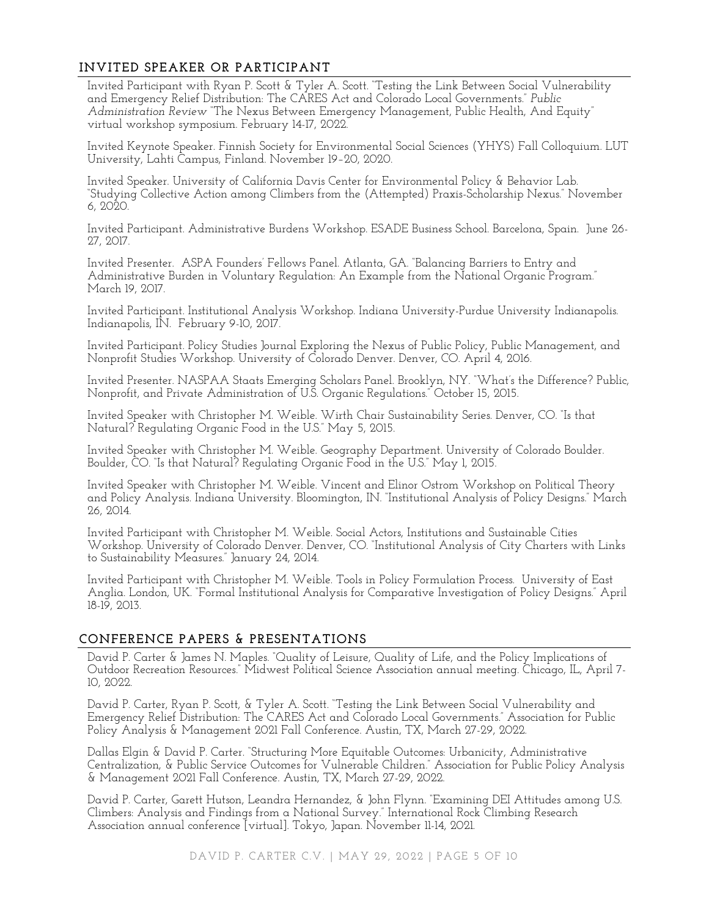# **INVITED SPEAKER OR PARTICIPANT**

Invited Participant with Ryan P. Scott & Tyler A. Scott. "Testing the Link Between Social Vulnerability and Emergency Relief Distribution: The CARES Act and Colorado Local Governments." *Public Administration Review* "The Nexus Between Emergency Management, Public Health, And Equity" virtual workshop symposium. February 14-17, 2022.

Invited Keynote Speaker. Finnish Society for Environmental Social Sciences (YHYS) Fall Colloquium. LUT University, Lahti Campus, Finland. November 19–20, 2020.

Invited Speaker. University of California Davis Center for Environmental Policy & Behavior Lab. "Studying Collective Action among Climbers from the (Attempted) Praxis-Scholarship Nexus." November 6, 2020.

Invited Participant. Administrative Burdens Workshop. ESADE Business School. Barcelona, Spain. June 26- 27, 2017.

Invited Presenter. ASPA Founders' Fellows Panel. Atlanta, GA. "Balancing Barriers to Entry and Administrative Burden in Voluntary Regulation: An Example from the National Organic Program." March 19, 2017.

Invited Participant. Institutional Analysis Workshop. Indiana University-Purdue University Indianapolis. Indianapolis, IN. February 9-10, 2017.

Invited Participant. Policy Studies Journal Exploring the Nexus of Public Policy, Public Management, and Nonprofit Studies Workshop. University of Colorado Denver. Denver, CO. April 4, 2016.

Invited Presenter. NASPAA Staats Emerging Scholars Panel. Brooklyn, NY. "What's the Difference? Public, Nonprofit, and Private Administration of U.S. Organic Regulations." October 15, 2015.

Invited Speaker with Christopher M. Weible. Wirth Chair Sustainability Series. Denver, CO. "Is that Natural? Regulating Organic Food in the U.S." May 5, 2015.

Invited Speaker with Christopher M. Weible. Geography Department. University of Colorado Boulder. Boulder, CO. "Is that Natural? Regulating Organic Food in the U.S." May 1, 2015.

Invited Speaker with Christopher M. Weible. Vincent and Elinor Ostrom Workshop on Political Theory and Policy Analysis. Indiana University. Bloomington, IN. "Institutional Analysis of Policy Designs." March 26, 2014.

Invited Participant with Christopher M. Weible. Social Actors, Institutions and Sustainable Cities Workshop. University of Colorado Denver. Denver, CO. "Institutional Analysis of City Charters with Links to Sustainability Measures." January 24, 2014.

Invited Participant with Christopher M. Weible. Tools in Policy Formulation Process. University of East Anglia. London, UK. "Formal Institutional Analysis for Comparative Investigation of Policy Designs." April 18-19, 2013.

## **CONFERENCE PAPERS & PRESENTATIONS**

David P. Carter & James N. Maples. "Quality of Leisure, Quality of Life, and the Policy Implications of Outdoor Recreation Resources." Midwest Political Science Association annual meeting. Chicago, IL, April 7- 10, 2022.

David P. Carter, Ryan P. Scott, & Tyler A. Scott. "Testing the Link Between Social Vulnerability and Emergency Relief Distribution: The CARES Act and Colorado Local Governments." Association for Public Policy Analysis & Management 2021 Fall Conference. Austin, TX, March 27-29, 2022.

Dallas Elgin & David P. Carter. "Structuring More Equitable Outcomes: Urbanicity, Administrative Centralization, & Public Service Outcomes for Vulnerable Children." Association for Public Policy Analysis & Management 2021 Fall Conference. Austin, TX, March 27-29, 2022.

David P. Carter, Garett Hutson, Leandra Hernandez, & John Flynn. "Examining DEI Attitudes among U.S. Climbers: Analysis and Findings from a National Survey." International Rock Climbing Research Association annual conference [virtual]. Tokyo, Japan. November 11-14, 2021.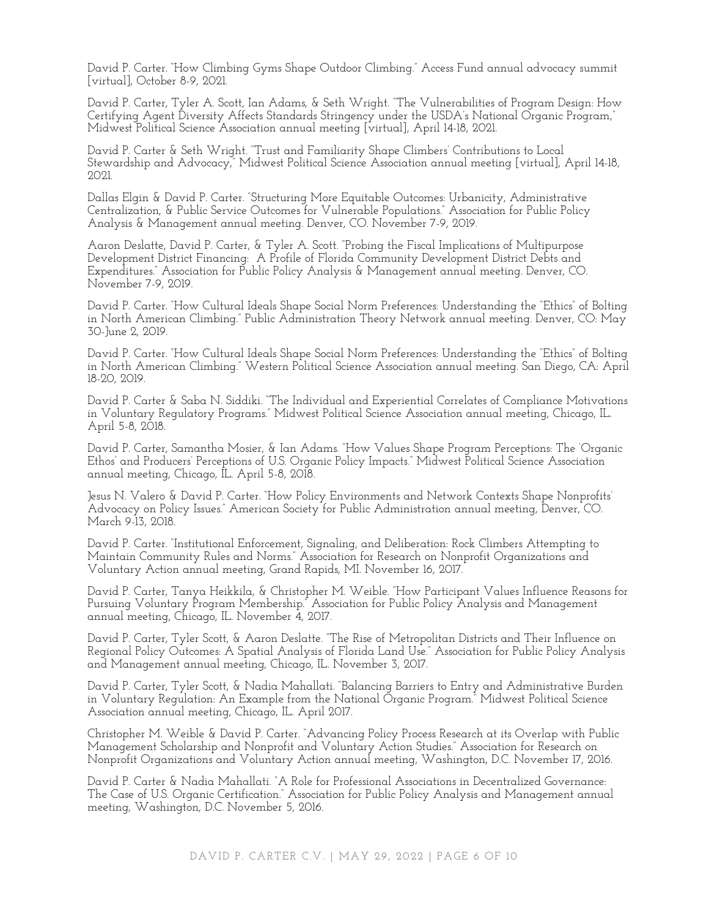David P. Carter. "How Climbing Gyms Shape Outdoor Climbing." Access Fund annual advocacy summit [virtual], October 8-9, 2021.

David P. Carter, Tyler A. Scott, Ian Adams, & Seth Wright. "The Vulnerabilities of Program Design: How Certifying Agent Diversity Affects Standards Stringency under the USDA's National Organic Program," Midwest Political Science Association annual meeting [virtual], April 14-18, 2021.

David P. Carter & Seth Wright. "Trust and Familiarity Shape Climbers' Contributions to Local Stewardship and Advocacy," Midwest Political Science Association annual meeting [virtual], April 14-18, 2021.

Dallas Elgin & David P. Carter. "Structuring More Equitable Outcomes: Urbanicity, Administrative Centralization, & Public Service Outcomes for Vulnerable Populations." Association for Public Policy Analysis & Management annual meeting. Denver, CO. November 7-9, 2019.

Aaron Deslatte, David P. Carter, & Tyler A. Scott. "Probing the Fiscal Implications of Multipurpose Development District Financing: A Profile of Florida Community Development District Debts and Expenditures." Association for Public Policy Analysis & Management annual meeting. Denver, CO. November 7-9, 2019.

David P. Carter. "How Cultural Ideals Shape Social Norm Preferences: Understanding the "Ethics" of Bolting in North American Climbing." Public Administration Theory Network annual meeting. Denver, CO: May 30-June 2, 2019.

David P. Carter. "How Cultural Ideals Shape Social Norm Preferences: Understanding the "Ethics" of Bolting in North American Climbing." Western Political Science Association annual meeting. San Diego, CA: April 18-20, 2019.

David P. Carter & Saba N. Siddiki. "The Individual and Experiential Correlates of Compliance Motivations in Voluntary Regulatory Programs." Midwest Political Science Association annual meeting, Chicago, IL. April 5-8, 2018.

David P. Carter, Samantha Mosier, & Ian Adams. "How Values Shape Program Perceptions: The 'Organic Ethos' and Producers' Perceptions of U.S. Organic Policy Impacts." Midwest Political Science Association annual meeting, Chicago, IL. April 5-8, 2018.

Jesus N. Valero & David P. Carter. "How Policy Environments and Network Contexts Shape Nonprofits' Advocacy on Policy Issues." American Society for Public Administration annual meeting, Denver, CO. March 9-13, 2018.

David P. Carter. "Institutional Enforcement, Signaling, and Deliberation: Rock Climbers Attempting to Maintain Community Rules and Norms." Association for Research on Nonprofit Organizations and Voluntary Action annual meeting, Grand Rapids, MI. November 16, 2017.

David P. Carter, Tanya Heikkila, & Christopher M. Weible. "How Participant Values Influence Reasons for Pursuing Voluntary Program Membership." Association for Public Policy Analysis and Management annual meeting, Chicago, IL. November 4, 2017.

David P. Carter, Tyler Scott, & Aaron Deslatte. "The Rise of Metropolitan Districts and Their Influence on Regional Policy Outcomes: A Spatial Analysis of Florida Land Use." Association for Public Policy Analysis and Management annual meeting, Chicago, IL. November 3, 2017.

David P. Carter, Tyler Scott, & Nadia Mahallati. "Balancing Barriers to Entry and Administrative Burden in Voluntary Regulation: An Example from the National Organic Program." Midwest Political Science Association annual meeting, Chicago, IL. April 2017.

Christopher M. Weible & David P. Carter. "Advancing Policy Process Research at its Overlap with Public Management Scholarship and Nonprofit and Voluntary Action Studies." Association for Research on Nonprofit Organizations and Voluntary Action annual meeting, Washington, D.C. November 17, 2016.

David P. Carter & Nadia Mahallati. "A Role for Professional Associations in Decentralized Governance: The Case of U.S. Organic Certification." Association for Public Policy Analysis and Management annual meeting, Washington, D.C. November 5, 2016.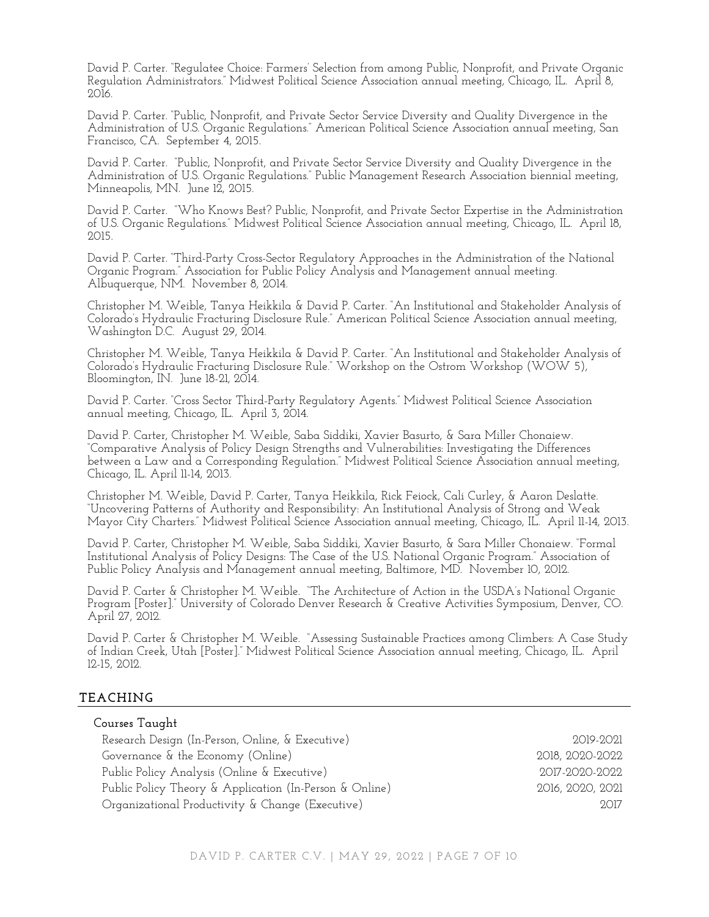David P. Carter. "Regulatee Choice: Farmers' Selection from among Public, Nonprofit, and Private Organic Regulation Administrators." Midwest Political Science Association annual meeting, Chicago, IL. April 8, 2016.

David P. Carter. "Public, Nonprofit, and Private Sector Service Diversity and Quality Divergence in the Administration of U.S. Organic Regulations." American Political Science Association annual meeting, San Francisco, CA. September 4, 2015.

David P. Carter. "Public, Nonprofit, and Private Sector Service Diversity and Quality Divergence in the Administration of U.S. Organic Regulations." Public Management Research Association biennial meeting, Minneapolis, MN. June 12, 2015.

David P. Carter. "Who Knows Best? Public, Nonprofit, and Private Sector Expertise in the Administration of U.S. Organic Regulations." Midwest Political Science Association annual meeting, Chicago, IL. April 18, 2015.

David P. Carter. "Third-Party Cross-Sector Regulatory Approaches in the Administration of the National Organic Program." Association for Public Policy Analysis and Management annual meeting. Albuquerque, NM. November 8, 2014.

Christopher M. Weible, Tanya Heikkila & David P. Carter. "An Institutional and Stakeholder Analysis of Colorado's Hydraulic Fracturing Disclosure Rule." American Political Science Association annual meeting, Washington D.C. August 29, 2014.

Christopher M. Weible, Tanya Heikkila & David P. Carter. "An Institutional and Stakeholder Analysis of Colorado's Hydraulic Fracturing Disclosure Rule." Workshop on the Ostrom Workshop (WOW 5), Bloomington, IN. June 18-21, 2014.

David P. Carter. "Cross Sector Third-Party Regulatory Agents." Midwest Political Science Association annual meeting, Chicago, IL. April 3, 2014.

David P. Carter, Christopher M. Weible, Saba Siddiki, Xavier Basurto, & Sara Miller Chonaiew. "Comparative Analysis of Policy Design Strengths and Vulnerabilities: Investigating the Differences between a Law and a Corresponding Regulation." Midwest Political Science Association annual meeting, Chicago, IL. April 11-14, 2013.

Christopher M. Weible, David P. Carter, Tanya Heikkila, Rick Feiock, Cali Curley, & Aaron Deslatte. "Uncovering Patterns of Authority and Responsibility: An Institutional Analysis of Strong and Weak Mayor City Charters." Midwest Political Science Association annual meeting, Chicago, IL. April 11-14, 2013.

David P. Carter, Christopher M. Weible, Saba Siddiki, Xavier Basurto, & Sara Miller Chonaiew. "Formal Institutional Analysis of Policy Designs: The Case of the U.S. National Organic Program." Association of Public Policy Analysis and Management annual meeting, Baltimore, MD. November 10, 2012.

David P. Carter & Christopher M. Weible. "The Architecture of Action in the USDA's National Organic Program [Poster]." University of Colorado Denver Research & Creative Activities Symposium, Denver, CO. April 27, 2012.

David P. Carter & Christopher M. Weible. "Assessing Sustainable Practices among Climbers: A Case Study of Indian Creek, Utah [Poster]." Midwest Political Science Association annual meeting, Chicago, IL. April 12-15, 2012.

# **TEACHING**

| Courses Taught                                          |                  |
|---------------------------------------------------------|------------------|
| Research Design (In-Person, Online, & Executive)        | 2019-2021        |
| Governance & the Economy (Online)                       | 2018, 2020-2022  |
| Public Policy Analysis (Online & Executive)             | 2017-2020-2022   |
| Public Policy Theory & Application (In-Person & Online) | 2016, 2020, 2021 |
| Organizational Productivity & Change (Executive)        | 2.017            |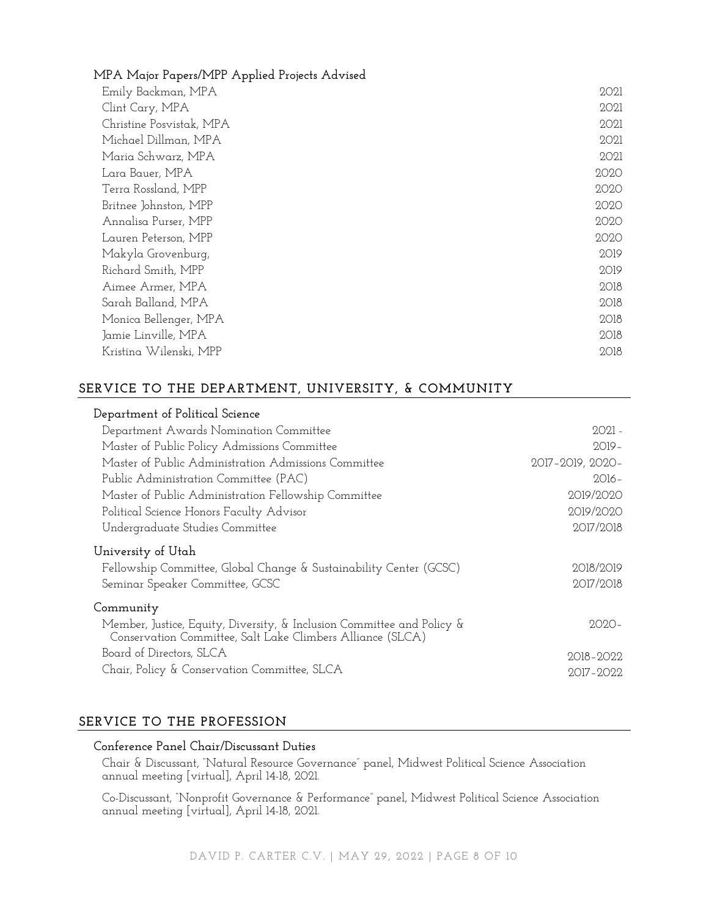# **MPA Major Papers/MPP Applied Projects Advised**

| Emily Backman, MPA       | 2021 |
|--------------------------|------|
| Clint Cary, MPA          | 2021 |
| Christine Posvistak, MPA | 2021 |
| Michael Dillman, MPA     | 2021 |
| Maria Schwarz, MPA       | 2021 |
| Lara Bauer, MPA          | 2020 |
| Terra Rossland, MPP      | 2020 |
| Britnee Johnston, MPP    | 2020 |
| Annalisa Purser, MPP     | 2020 |
| Lauren Peterson, MPP     | 2020 |
| Makyla Grovenburg,       | 2019 |
| Richard Smith, MPP       | 2019 |
| Aimee Armer, MPA         | 2018 |
| Sarah Balland, MPA       | 2018 |
| Monica Bellenger, MPA    | 2018 |
| Jamie Linville, MPA      | 2018 |
| Kristina Wilenski, MPP   | 2018 |

# **SERVICE TO THE DEPARTMENT, UNIVERSITY, & COMMUNITY**

| Department of Political Science                                                                                                      |                  |
|--------------------------------------------------------------------------------------------------------------------------------------|------------------|
| Department Awards Nomination Committee                                                                                               | $2021 -$         |
| Master of Public Policy Admissions Committee                                                                                         | $2019-$          |
| Master of Public Administration Admissions Committee                                                                                 | 2017-2019, 2020- |
| Public Administration Committee (PAC)                                                                                                | $2016-$          |
| Master of Public Administration Fellowship Committee                                                                                 | 2019/2020        |
| Political Science Honors Faculty Advisor                                                                                             | 2019/2020        |
| Undergraduate Studies Committee                                                                                                      | 2017/2018        |
| University of Utah                                                                                                                   |                  |
| Fellowship Committee, Global Change & Sustainability Center (GCSC)                                                                   | 2018/2019        |
| Seminar Speaker Committee, GCSC                                                                                                      | 2017/2018        |
| Community                                                                                                                            |                  |
| Member, Justice, Equity, Diversity, & Inclusion Committee and Policy &<br>Conservation Committee, Salt Lake Climbers Alliance (SLCA) | $2020 -$         |
| Board of Directors, SLCA                                                                                                             | 2018-2022        |
| Chair, Policy & Conservation Committee, SLCA                                                                                         | $2017 - 2022$    |

# **SERVICE TO THE PROFESSION**

## **Conference Panel Chair/Discussant Duties**

Chair & Discussant, "Natural Resource Governance" panel, Midwest Political Science Association annual meeting [virtual], April 14-18, 2021.

Co-Discussant, "Nonprofit Governance & Performance" panel, Midwest Political Science Association annual meeting [virtual], April 14-18, 2021.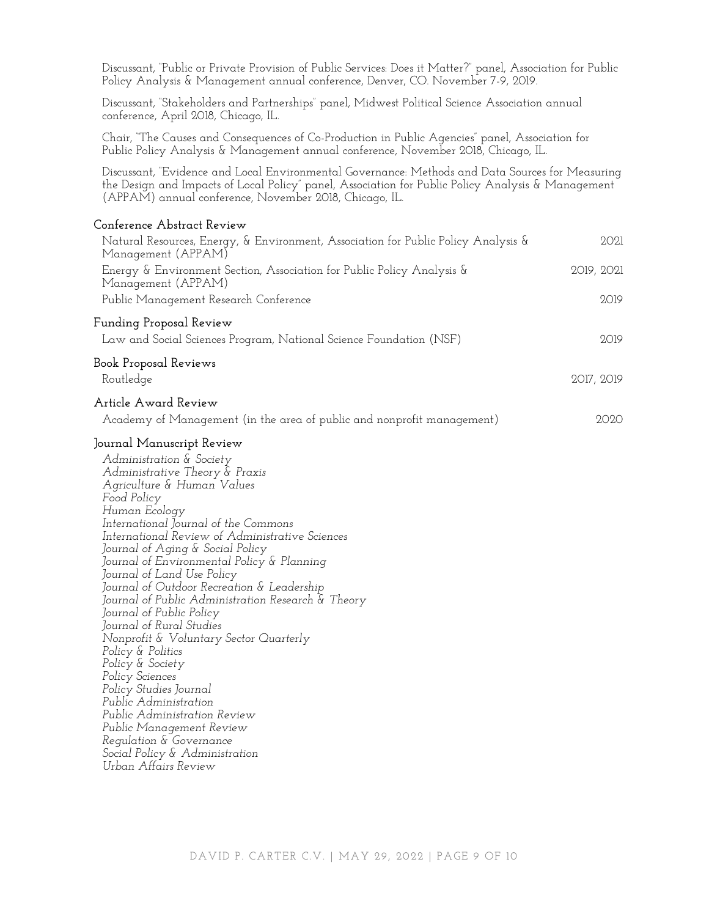Discussant, "Public or Private Provision of Public Services: Does it Matter?" panel, Association for Public Policy Analysis & Management annual conference, Denver, CO. November 7-9, 2019. Discussant, "Stakeholders and Partnerships" panel, Midwest Political Science Association annual conference, April 2018, Chicago, IL. Chair, "The Causes and Consequences of Co-Production in Public Agencies" panel, Association for Public Policy Analysis & Management annual conference, November 2018, Chicago, IL. Discussant, "Evidence and Local Environmental Governance: Methods and Data Sources for Measuring the Design and Impacts of Local Policy" panel, Association for Public Policy Analysis & Management (APPAM) annual conference, November 2018, Chicago, IL. **Conference Abstract Review** Natural Resources, Energy, & Environment, Association for Public Policy Analysis & Management (APPAM) 2021 Energy & Environment Section, Association for Public Policy Analysis & Management (APPAM) 2019, 2021 Public Management Research Conference 2019 **Funding Proposal Review** Law and Social Sciences Program, National Science Foundation (NSF) 2019 **Book Proposal Reviews** Routledge 2017, 2019 **Article Award Review** Academy of Management (in the area of public and nonprofit management) 2020 **Journal Manuscript Review** *Administration & Society Administrative Theory & Praxis Agriculture & Human Values Food Policy Human Ecology International Journal of the Commons International Review of Administrative Sciences Journal of Aging & Social Policy Journal of Environmental Policy & Planning Journal of Land Use Policy Journal of Outdoor Recreation & Leadership Journal of Public Administration Research & Theory Journal of Public Policy Journal of Rural Studies Nonprofit & Voluntary Sector Quarterly Policy & Politics Policy & Society Policy Sciences Policy Studies Journal Public Administration Public Administration Review Public Management Review Regulation & Governance Social Policy & Administration Urban Affairs Review*